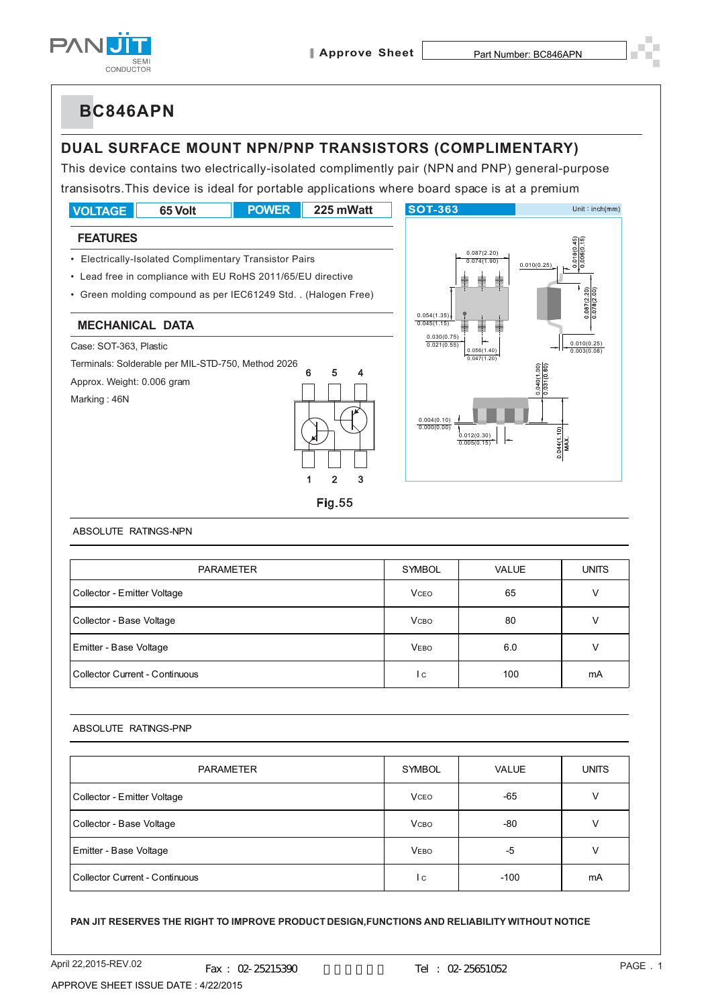

## **DUAL SURFACE MOUNT NPN/PNP TRANSISTORS (COMPLIMENTARY)**

This device contains two electrically-isolated complimently pair (NPN and PNP) general-purpose transisotrs.This device is ideal for portable applications where board space is at a premium



#### ABSOLUTE RATINGS-NPN

| <b>PARAMETER</b>               | <b>SYMBOL</b> | <b>VALUE</b> | <b>UNITS</b> |
|--------------------------------|---------------|--------------|--------------|
| Collector - Emitter Voltage    | <b>VCEO</b>   | 65           |              |
| Collector - Base Voltage       | <b>V</b> сво  | 80           |              |
| Emitter - Base Voltage         | <b>VEBO</b>   | 6.0          |              |
| Collector Current - Continuous | l c           | 100          | mA           |

#### ABSOLUTE RATINGS-PNP

| <b>PARAMETER</b>               | <b>SYMBOL</b> | <b>VALUE</b> | <b>UNITS</b> |
|--------------------------------|---------------|--------------|--------------|
| Collector - Emitter Voltage    | <b>VCEO</b>   | $-65$        | ν            |
| Collector - Base Voltage       | <b>V</b> сво  | $-80$        | ν            |
| Emitter - Base Voltage         | <b>VEBO</b>   | -5           | ν            |
| Collector Current - Continuous | l c           | $-100$       | mA           |

#### **PAN JIT RESERVES THE RIGHT TO IMPROVE PRODUCT DESIGN,FUNCTIONS AND RELIABILITY WITHOUT NOTICE**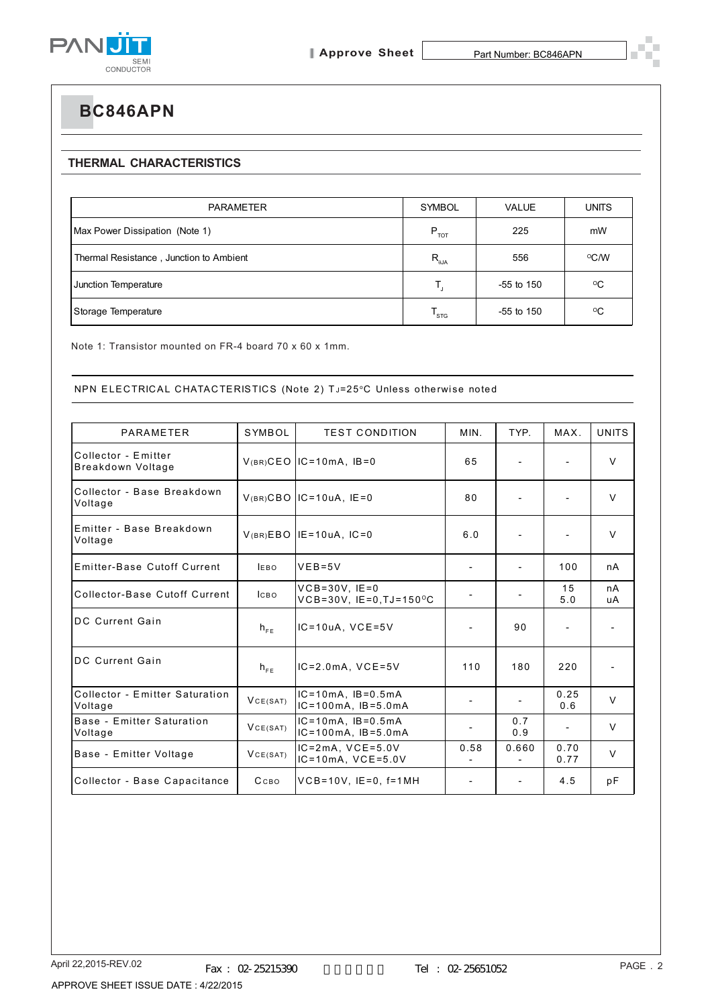

### **THERMAL CHARACTERISTICS**

| <b>PARAMETER</b>                        | <b>SYMBOL</b>               | VALUE        | UNITS        |
|-----------------------------------------|-----------------------------|--------------|--------------|
| Max Power Dissipation (Note 1)          | $P_{\tau \text{OT}}$        | 225          | mW           |
| Thermal Resistance, Junction to Ambient | $R_{\theta$ JA              | 556          | °C/W         |
| Junction Temperature                    |                             | $-55$ to 150 | $^{\circ}$ C |
| Storage Temperature                     | $\mathsf{T}_{\textsf{STG}}$ | $-55$ to 150 | $\rm ^{o}C$  |

Note 1: Transistor mounted on FR-4 board 70 x 60 x 1mm.

### NPN ELECTRICAL CHATACTERISTICS (Note 2) TJ=25°C Unless otherwise noted

| PARAMETER                                 | SYMBOL      | <b>TEST CONDITION</b>                                                  | MIN.                     | TYP.                         | MAX.         | <b>UNITS</b> |
|-------------------------------------------|-------------|------------------------------------------------------------------------|--------------------------|------------------------------|--------------|--------------|
| Collector - Emitter<br>Breakdown Voltage  |             | $V(BR)$ CEO IC=10mA, IB=0                                              | 65                       |                              |              | $\vee$       |
| Collector - Base Breakdown<br>Voltage     |             | $V(BR)$ CBO IC=10uA, IE=0                                              | 80                       |                              |              | $\vee$       |
| Emitter - Base Breakdown<br>Voltage       |             | $V(BR)EBO$ IE=10uA, IC=0                                               | 6.0                      |                              |              | $\vee$       |
| Emitter-Base Cutoff Current               | <b>LEBO</b> | $VEB = 5V$                                                             |                          |                              | 100          | nA           |
| Collector-Base Cutoff Current             | <b>ICBO</b> | $VCB = 30V$ , $IE = 0$<br>$VCB = 30V$ , $IE = 0$ , $TJ = 150^{\circ}C$ |                          |                              | 15<br>5.0    | nA<br>uA     |
| <b>DC Current Gain</b>                    | $h_{FE}$    | $IC = 10uA$ , $VCE = 5V$                                               |                          | 90                           |              |              |
| <b>DC Current Gain</b>                    | $h_{FE}$    | $IC = 2.0mA$ , $VCE = 5V$                                              | 110                      | 180                          | 220          |              |
| Collector - Emitter Saturation<br>Voltage | VCE(SAT)    | $IC=10mA$ , $IB=0.5mA$<br>$IC = 100mA$ , $IB = 5.0mA$                  | $\overline{\phantom{0}}$ |                              | 0.25<br>0.6  | $\vee$       |
| Base - Emitter Saturation<br>Voltage      | VCE(SAT)    | $IC=10mA$ , $IB=0.5mA$<br>$IC = 100mA, IB = 5.0mA$                     |                          | 0.7<br>0.9                   |              | V            |
| Base - Emitter Voltage                    | VCE(SAT)    | $IC=2mA$ , $VCE=5.0V$<br>$IC = 10mA, VCE = 5.0V$                       | 0.58                     | 0.660                        | 0.70<br>0.77 | $\vee$       |
| Collector - Base Capacitance              | Ссво        | $VCB=10V$ , $IE=0$ , $f=1MH$                                           | $\overline{\phantom{a}}$ | $\qquad \qquad \blacksquare$ | 4.5          | pF           |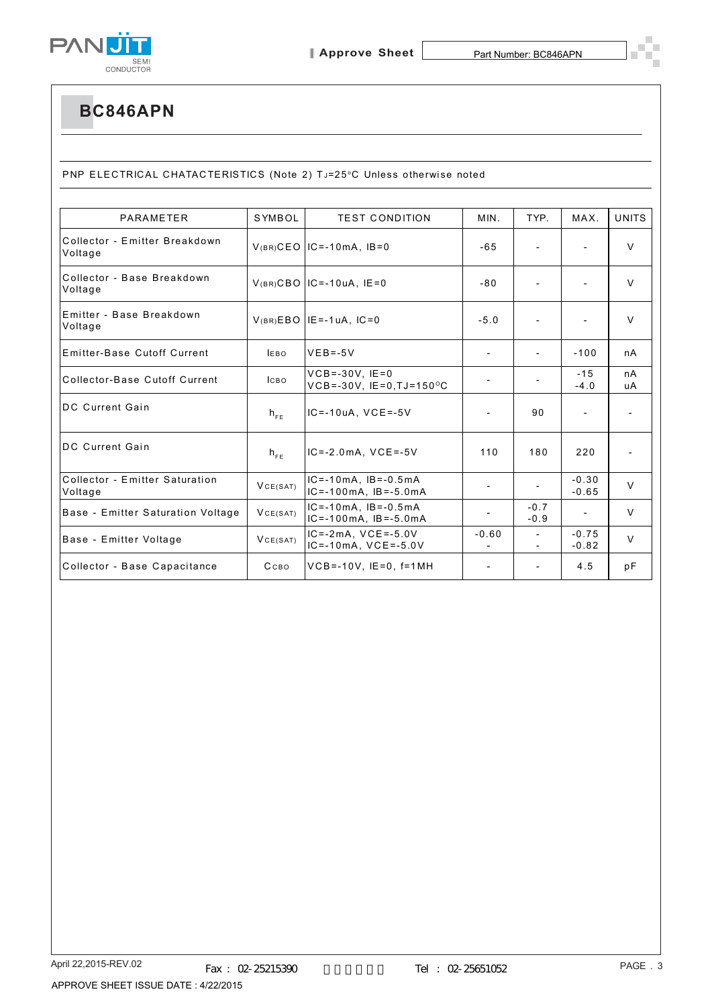

PNP ELECTRICAL CHATACTERISTICS (Note 2) TJ=25°C Unless otherwise noted

| <b>PARAMETER</b>                          | SYMBOL      | <b>TEST CONDITION</b>                                                    | MIN.                     | TYP.                     | MAX.                     | <b>UNITS</b> |
|-------------------------------------------|-------------|--------------------------------------------------------------------------|--------------------------|--------------------------|--------------------------|--------------|
| Collector - Emitter Breakdown<br>Voltage  |             | $V(BR)$ CEO IC=-10mA, IB=0                                               | $-65$                    | $\overline{\phantom{a}}$ | $\overline{\phantom{a}}$ | $\vee$       |
| Collector - Base Breakdown<br>Voltage     |             | $V(BR)CBO$ IC=-10uA, IE=0                                                | $-80$                    |                          | $\overline{\phantom{0}}$ | $\vee$       |
| Emitter - Base Breakdown<br>Voltage       |             | $V(BR)EBO$ IE = -1uA, IC = 0                                             | $-5.0$                   |                          |                          | $\vee$       |
| Emitter-Base Cutoff Current               | <b>IEBO</b> | $VEB = -5V$                                                              |                          | $\overline{\phantom{0}}$ | $-100$                   | nA           |
| Collector-Base Cutoff Current             | <b>ICBO</b> | $VCB = -30V$ . $IE = 0$<br>$VCB = -30V$ , $IE = 0$ , $TJ = 150^{\circ}C$ | $\overline{\phantom{a}}$ | $\overline{\phantom{a}}$ | $-15$<br>$-4.0$          | nA<br>uA     |
| <b>DC Current Gain</b>                    | $h_{FE}$    | $IC = -10uA$ , $VCE = -5V$                                               |                          | 90                       |                          |              |
| <b>DC Current Gain</b>                    | $h_{FE}$    | $IC = -2.0mA$ , $VCE = -5V$                                              | 110                      | 180                      | 220                      |              |
| Collector - Emitter Saturation<br>Voltage | VCE(SAT)    | $IC = -10mA$ , $IB = -0.5mA$<br>$IC = -100mA$ , $IB = -5.0mA$            |                          | $\overline{\phantom{a}}$ | $-0.30$<br>$-0.65$       | $\vee$       |
| Base - Emitter Saturation Voltage         | VCE(SAT)    | $IC = -10mA$ , $IB = -0.5mA$<br>$IC = -100mA$ , $IB = -5.0mA$            |                          | $-0.7$<br>$-0.9$         | $\overline{\phantom{a}}$ | $\vee$       |
| Base - Emitter Voltage                    | VCE(SAT)    | $IC = -2mA$ . $VCE = -5.0V$<br>$IC = -10mA$ , $VCE = -5.0V$              | $-0.60$                  | $\overline{\phantom{a}}$ | $-0.75$<br>$-0.82$       | $\vee$       |
| Collector - Base Capacitance              | Ссво        | $VCB = -10V$ , $IE = 0$ , $f = 1MH$                                      |                          |                          | 4.5                      | рF           |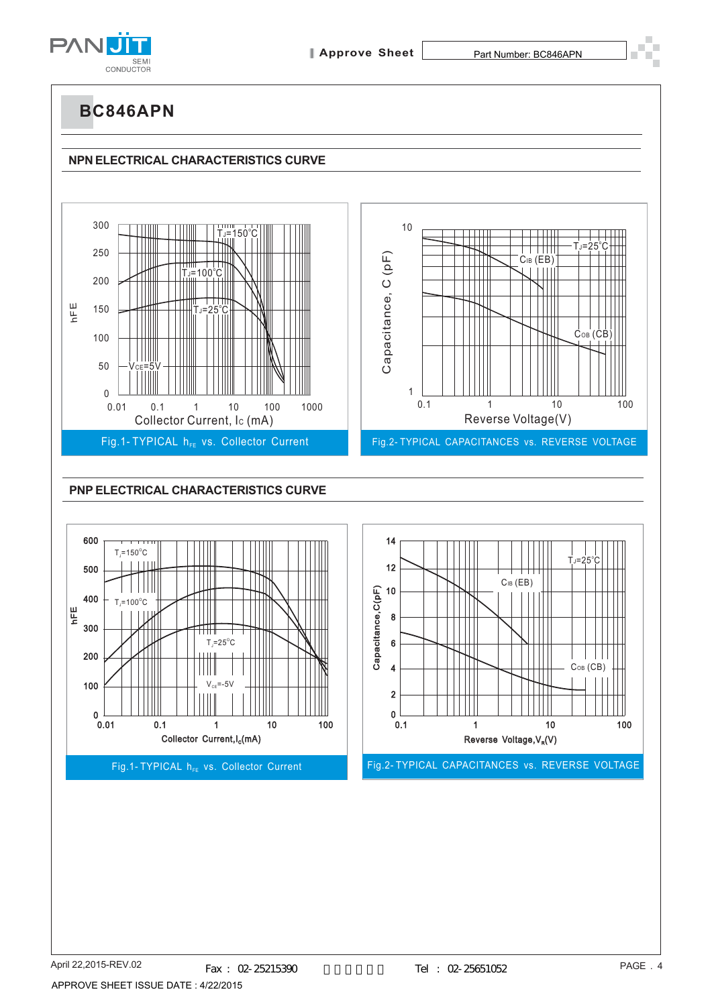

# **NPN ELECTRICAL CHARACTERISTICS CURVE**



4

2

 $0$  –<br> $0.1$ 

0.01 0.1 1 10 100

 $\rm V_{\rm CE}$ =-5V

Ш

Collector Current, I<sub>c</sub>(mA)

Fig.1- TYPICAL h<sub>FF</sub> vs. Collector Current

100

 $0\frac{1}{0.01}$ 

0.1 1 10 100

 $Co<sub>B</sub>$  (CB)

Reverse Voltage,  $V_R(V)$ 

Fig.2- TYPICAL CAPACITANCES vs. REVERSE VOLTAGE